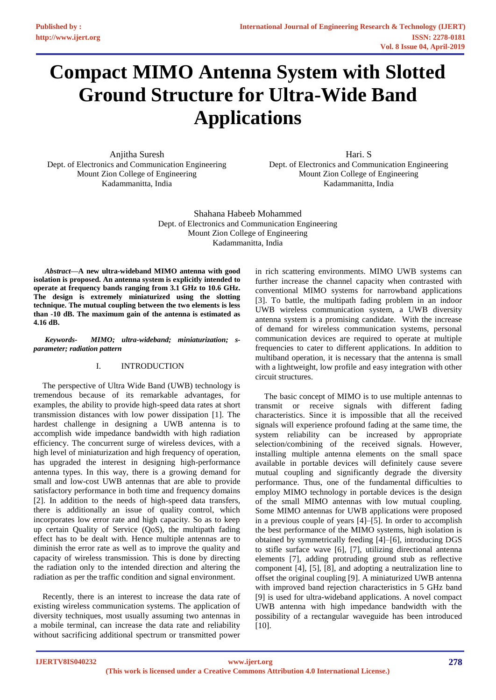# **Compact MIMO Antenna System with Slotted Ground Structure for Ultra-Wide Band Applications**

Anjitha Suresh Dept. of Electronics and Communication Engineering Mount Zion College of Engineering Kadammanitta, India

Hari. S Dept. of Electronics and Communication Engineering Mount Zion College of Engineering Kadammanitta, India

Shahana Habeeb Mohammed Dept. of Electronics and Communication Engineering Mount Zion College of Engineering Kadammanitta, India

*Abstract***—A new ultra-wideband MIMO antenna with good isolation is proposed. An antenna system is explicitly intended to operate at frequency bands ranging from 3.1 GHz to 10.6 GHz. The design is extremely miniaturized using the slotting technique. The mutual coupling between the two elements is less than -10 dB. The maximum gain of the antenna is estimated as 4.16 dB.**

*Keywords- MIMO; ultra-wideband; miniaturization; sparameter; radiation pattern*

## I. INTRODUCTION

The perspective of Ultra Wide Band (UWB) technology is tremendous because of its remarkable advantages, for examples, the ability to provide high-speed data rates at short transmission distances with low power dissipation [1]. The hardest challenge in designing a UWB antenna is to accomplish wide impedance bandwidth with high radiation efficiency. The concurrent surge of wireless devices, with a high level of miniaturization and high frequency of operation, has upgraded the interest in designing high-performance antenna types. In this way, there is a growing demand for small and low-cost UWB antennas that are able to provide satisfactory performance in both time and frequency domains [2]. In addition to the needs of high-speed data transfers, there is additionally an issue of quality control, which incorporates low error rate and high capacity. So as to keep up certain Quality of Service (QoS), the multipath fading effect has to be dealt with. Hence multiple antennas are to diminish the error rate as well as to improve the quality and capacity of wireless transmission. This is done by directing the radiation only to the intended direction and altering the radiation as per the traffic condition and signal environment.

Recently, there is an interest to increase the data rate of existing wireless communication systems. The application of diversity techniques, most usually assuming two antennas in a mobile terminal, can increase the data rate and reliability without sacrificing additional spectrum or transmitted power

in rich scattering environments. MIMO UWB systems can further increase the channel capacity when contrasted with conventional MIMO systems for narrowband applications [3]. To battle, the multipath fading problem in an indoor UWB wireless communication system, a UWB diversity antenna system is a promising candidate. With the increase of demand for wireless communication systems, personal communication devices are required to operate at multiple frequencies to cater to different applications. In addition to multiband operation, it is necessary that the antenna is small with a lightweight, low profile and easy integration with other circuit structures.

The basic concept of MIMO is to use multiple antennas to transmit or receive signals with different fading characteristics. Since it is impossible that all the received signals will experience profound fading at the same time, the system reliability can be increased by appropriate selection/combining of the received signals. However, installing multiple antenna elements on the small space available in portable devices will definitely cause severe mutual coupling and significantly degrade the diversity performance. Thus, one of the fundamental difficulties to employ MIMO technology in portable devices is the design of the small MIMO antennas with low mutual coupling. Some MIMO antennas for UWB applications were proposed in a previous couple of years [4]–[5]. In order to accomplish the best performance of the MIMO systems, high isolation is obtained by symmetrically feeding [4]–[6], introducing DGS to stifle surface wave [6], [7], utilizing directional antenna elements [7], adding protruding ground stub as reflective component [4], [5], [8], and adopting a neutralization line to offset the original coupling [9]. A miniaturized UWB antenna with improved band rejection characteristics in 5 GHz band [9] is used for ultra-wideband applications. A novel compact UWB antenna with high impedance bandwidth with the possibility of a rectangular waveguide has been introduced [10].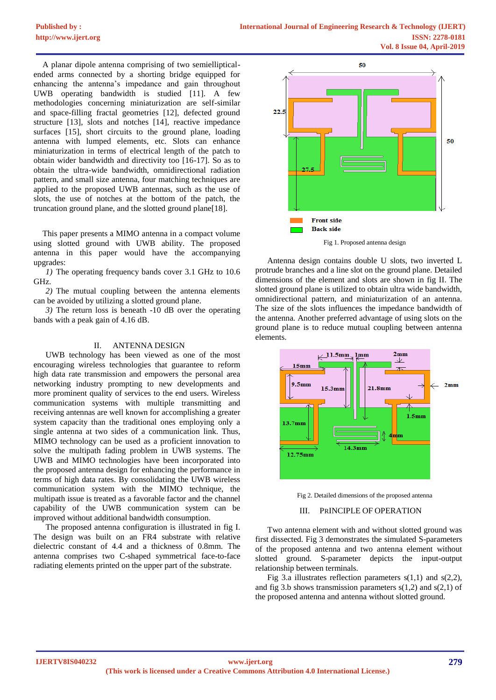A planar dipole antenna comprising of two semiellipticalended arms connected by a shorting bridge equipped for enhancing the antenna's impedance and gain throughout UWB operating bandwidth is studied [11]. A few methodologies concerning miniaturization are self-similar and space-filling fractal geometries [12], defected ground structure [13], slots and notches [14], reactive impedance surfaces [15], short circuits to the ground plane, loading antenna with lumped elements, etc. Slots can enhance miniaturization in terms of electrical length of the patch to obtain wider bandwidth and directivity too [16-17]. So as to obtain the ultra-wide bandwidth, omnidirectional radiation pattern, and small size antenna, four matching techniques are applied to the proposed UWB antennas, such as the use of slots, the use of notches at the bottom of the patch, the truncation ground plane, and the slotted ground plane[18].

This paper presents a MIMO antenna in a compact volume using slotted ground with UWB ability. The proposed antenna in this paper would have the accompanying upgrades:

*1)* The operating frequency bands cover 3.1 GHz to 10.6 GHz.

*2)* The mutual coupling between the antenna elements can be avoided by utilizing a slotted ground plane.

*3)* The return loss is beneath -10 dB over the operating bands with a peak gain of 4.16 dB.

## II. ANTENNA DESIGN

UWB technology has been viewed as one of the most encouraging wireless technologies that guarantee to reform high data rate transmission and empowers the personal area networking industry prompting to new developments and more prominent quality of services to the end users. Wireless communication systems with multiple transmitting and receiving antennas are well known for accomplishing a greater system capacity than the traditional ones employing only a single antenna at two sides of a communication link. Thus, MIMO technology can be used as a proficient innovation to solve the multipath fading problem in UWB systems. The UWB and MIMO technologies have been incorporated into the proposed antenna design for enhancing the performance in terms of high data rates. By consolidating the UWB wireless communication system with the MIMO technique, the multipath issue is treated as a favorable factor and the channel capability of the UWB communication system can be improved without additional bandwidth consumption.

The proposed antenna configuration is illustrated in fig I. The design was built on an FR4 substrate with relative dielectric constant of 4.4 and a thickness of 0.8mm. The antenna comprises two C-shaped symmetrical face-to-face radiating elements printed on the upper part of the substrate.



Fig 1. Proposed antenna design

Antenna design contains double U slots, two inverted L protrude branches and a line slot on the ground plane. Detailed dimensions of the element and slots are shown in fig II. The slotted ground plane is utilized to obtain ultra wide bandwidth, omnidirectional pattern, and miniaturization of an antenna. The size of the slots influences the impedance bandwidth of the antenna. Another preferred advantage of using slots on the ground plane is to reduce mutual coupling between antenna elements.





## III. PRINCIPLE OF OPERATION

Two antenna element with and without slotted ground was first dissected. Fig 3 demonstrates the simulated S-parameters of the proposed antenna and two antenna element without slotted ground. S-parameter depicts the input-output relationship between terminals.

Fig 3.a illustrates reflection parameters  $s(1,1)$  and  $s(2,2)$ , and fig 3.b shows transmission parameters  $s(1,2)$  and  $s(2,1)$  of the proposed antenna and antenna without slotted ground.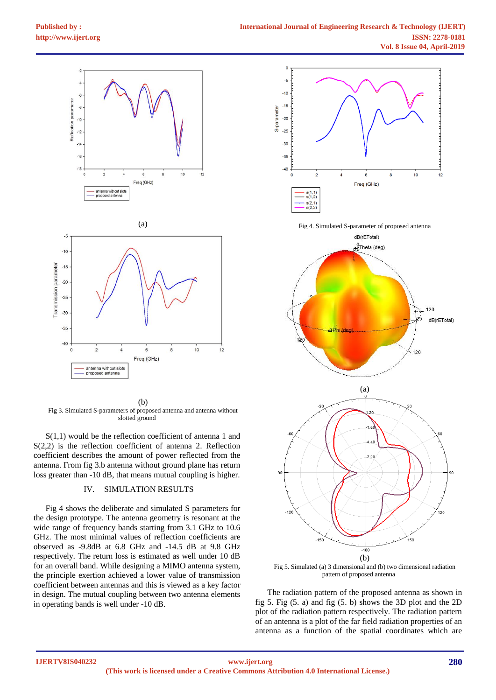

(b) Fig 3. Simulated S-parameters of proposed antenna and antenna without slotted ground

S(1,1) would be the reflection coefficient of antenna 1 and S(2,2) is the reflection coefficient of antenna 2. Reflection coefficient describes the amount of power reflected from the antenna. From fig 3.b antenna without ground plane has return loss greater than -10 dB, that means mutual coupling is higher.

#### IV. SIMULATION RESULTS

Fig 4 shows the deliberate and simulated S parameters for the design prototype. The antenna geometry is resonant at the wide range of frequency bands starting from 3.1 GHz to 10.6 GHz. The most minimal values of reflection coefficients are observed as -9.8dB at 6.8 GHz and -14.5 dB at 9.8 GHz respectively. The return loss is estimated as well under 10 dB for an overall band. While designing a MIMO antenna system, the principle exertion achieved a lower value of transmission coefficient between antennas and this is viewed as a key factor in design. The mutual coupling between two antenna elements in operating bands is well under -10 dB.



Fig 4. Simulated S-parameter of proposed antenna



Fig 5. Simulated (a) 3 dimensional and (b) two dimensional radiation pattern of proposed antenna

The radiation pattern of the proposed antenna as shown in fig 5. Fig (5. a) and fig (5. b) shows the 3D plot and the 2D plot of the radiation pattern respectively. The radiation pattern of an antenna is a plot of the far field radiation properties of an antenna as a function of the spatial coordinates which are